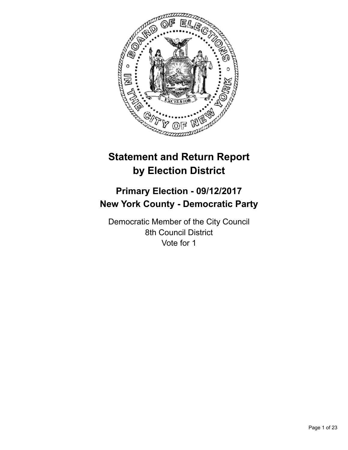

# **Statement and Return Report by Election District**

# **Primary Election - 09/12/2017 New York County - Democratic Party**

Democratic Member of the City Council 8th Council District Vote for 1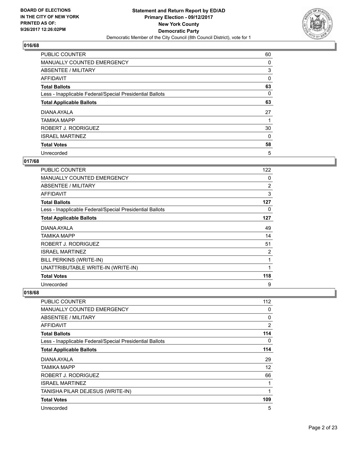

| <b>PUBLIC COUNTER</b>                                    | 60 |
|----------------------------------------------------------|----|
| MANUALLY COUNTED EMERGENCY                               | 0  |
| ABSENTEE / MILITARY                                      | 3  |
| AFFIDAVIT                                                | 0  |
| <b>Total Ballots</b>                                     | 63 |
| Less - Inapplicable Federal/Special Presidential Ballots | 0  |
| <b>Total Applicable Ballots</b>                          | 63 |
| DIANA AYALA                                              | 27 |
| TAMIKA MAPP                                              |    |
| ROBERT J. RODRIGUEZ                                      | 30 |
| <b>ISRAEL MARTINEZ</b>                                   | 0  |
| <b>Total Votes</b>                                       | 58 |
| Unrecorded                                               | 5  |

# **017/68**

| PUBLIC COUNTER                                           | 122 |
|----------------------------------------------------------|-----|
| MANUALLY COUNTED EMERGENCY                               | 0   |
| <b>ABSENTEE / MILITARY</b>                               | 2   |
| <b>AFFIDAVIT</b>                                         | 3   |
| <b>Total Ballots</b>                                     | 127 |
| Less - Inapplicable Federal/Special Presidential Ballots | 0   |
| <b>Total Applicable Ballots</b>                          | 127 |
| DIANA AYALA                                              | 49  |
| TAMIKA MAPP                                              | 14  |
| ROBERT J. RODRIGUEZ                                      | 51  |
| <b>ISRAEL MARTINEZ</b>                                   | 2   |
| BILL PERKINS (WRITE-IN)                                  | 1   |
| UNATTRIBUTABLE WRITE-IN (WRITE-IN)                       | 1   |
| <b>Total Votes</b>                                       | 118 |
| Unrecorded                                               | 9   |

| <b>PUBLIC COUNTER</b>                                    | 112 |
|----------------------------------------------------------|-----|
| <b>MANUALLY COUNTED EMERGENCY</b>                        | 0   |
| ABSENTEE / MILITARY                                      | 0   |
| <b>AFFIDAVIT</b>                                         | 2   |
| <b>Total Ballots</b>                                     | 114 |
| Less - Inapplicable Federal/Special Presidential Ballots | 0   |
| <b>Total Applicable Ballots</b>                          | 114 |
| DIANA AYALA                                              | 29  |
| TAMIKA MAPP                                              | 12  |
| ROBERT J. RODRIGUEZ                                      | 66  |
| <b>ISRAEL MARTINEZ</b>                                   | 1   |
| TANISHA PILAR DEJESUS (WRITE-IN)                         | 1   |
| <b>Total Votes</b>                                       | 109 |
| Unrecorded                                               | 5   |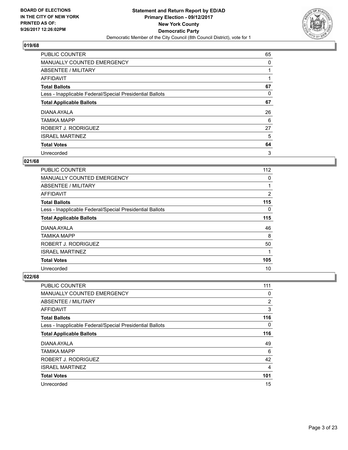

| <b>PUBLIC COUNTER</b>                                    | 65 |
|----------------------------------------------------------|----|
| MANUALLY COUNTED EMERGENCY                               | 0  |
| ABSENTEE / MILITARY                                      |    |
| AFFIDAVIT                                                |    |
| <b>Total Ballots</b>                                     | 67 |
| Less - Inapplicable Federal/Special Presidential Ballots | 0  |
| <b>Total Applicable Ballots</b>                          | 67 |
| DIANA AYALA                                              | 26 |
| <b>TAMIKA MAPP</b>                                       | 6  |
| ROBERT J. RODRIGUEZ                                      | 27 |
| <b>ISRAEL MARTINEZ</b>                                   | 5  |
| <b>Total Votes</b>                                       | 64 |
| Unrecorded                                               | 3  |

# **021/68**

| <b>PUBLIC COUNTER</b>                                    | 112 |
|----------------------------------------------------------|-----|
| <b>MANUALLY COUNTED EMERGENCY</b>                        | 0   |
| ABSENTEE / MILITARY                                      |     |
| <b>AFFIDAVIT</b>                                         | 2   |
| <b>Total Ballots</b>                                     | 115 |
| Less - Inapplicable Federal/Special Presidential Ballots | 0   |
| <b>Total Applicable Ballots</b>                          | 115 |
| DIANA AYALA                                              | 46  |
| <b>TAMIKA MAPP</b>                                       | 8   |
| ROBERT J. RODRIGUEZ                                      | 50  |
| <b>ISRAEL MARTINEZ</b>                                   | 1   |
| <b>Total Votes</b>                                       | 105 |
| Unrecorded                                               | 10  |

| PUBLIC COUNTER                                           | 111 |
|----------------------------------------------------------|-----|
| MANUALLY COUNTED EMERGENCY                               | 0   |
| ABSENTEE / MILITARY                                      | 2   |
| AFFIDAVIT                                                | 3   |
| <b>Total Ballots</b>                                     | 116 |
| Less - Inapplicable Federal/Special Presidential Ballots | 0   |
| <b>Total Applicable Ballots</b>                          | 116 |
| DIANA AYALA                                              | 49  |
| <b>TAMIKA MAPP</b>                                       | 6   |
| ROBERT J. RODRIGUEZ                                      | 42  |
| <b>ISRAEL MARTINEZ</b>                                   | 4   |
| <b>Total Votes</b>                                       | 101 |
| Unrecorded                                               | 15  |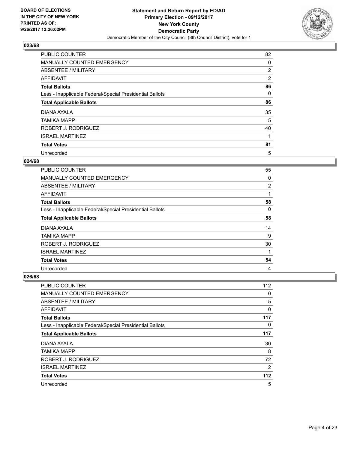

| <b>PUBLIC COUNTER</b>                                    | 82             |
|----------------------------------------------------------|----------------|
| MANUALLY COUNTED EMERGENCY                               | 0              |
| ABSENTEE / MILITARY                                      | $\overline{2}$ |
| AFFIDAVIT                                                | $\overline{2}$ |
| <b>Total Ballots</b>                                     | 86             |
| Less - Inapplicable Federal/Special Presidential Ballots | 0              |
| <b>Total Applicable Ballots</b>                          | 86             |
| DIANA AYALA                                              | 35             |
| <b>TAMIKA MAPP</b>                                       | 5              |
| ROBERT J. RODRIGUEZ                                      | 40             |
| <b>ISRAEL MARTINEZ</b>                                   |                |
| <b>Total Votes</b>                                       | 81             |
| Unrecorded                                               | 5              |

#### **024/68**

| PUBLIC COUNTER                                           | 55       |
|----------------------------------------------------------|----------|
| <b>MANUALLY COUNTED EMERGENCY</b>                        | $\Omega$ |
| ABSENTEE / MILITARY                                      | 2        |
| AFFIDAVIT                                                |          |
| <b>Total Ballots</b>                                     | 58       |
| Less - Inapplicable Federal/Special Presidential Ballots | 0        |
| <b>Total Applicable Ballots</b>                          | 58       |
| DIANA AYALA                                              | 14       |
| <b>TAMIKA MAPP</b>                                       | 9        |
| ROBERT J. RODRIGUEZ                                      | 30       |
| <b>ISRAEL MARTINEZ</b>                                   |          |
| <b>Total Votes</b>                                       | 54       |
| Unrecorded                                               | 4        |

| PUBLIC COUNTER                                           | 112   |
|----------------------------------------------------------|-------|
| <b>MANUALLY COUNTED EMERGENCY</b>                        | 0     |
| ABSENTEE / MILITARY                                      | 5     |
| AFFIDAVIT                                                | 0     |
| <b>Total Ballots</b>                                     | 117   |
| Less - Inapplicable Federal/Special Presidential Ballots | 0     |
| <b>Total Applicable Ballots</b>                          | 117   |
| DIANA AYALA                                              | 30    |
| <b>TAMIKA MAPP</b>                                       | 8     |
| ROBERT J. RODRIGUEZ                                      | 72    |
| <b>ISRAEL MARTINEZ</b>                                   | 2     |
| <b>Total Votes</b>                                       | $112$ |
| Unrecorded                                               | 5     |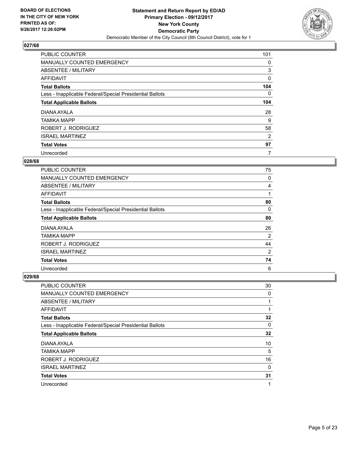

| PUBLIC COUNTER                                           | 101 |
|----------------------------------------------------------|-----|
| MANUALLY COUNTED EMERGENCY                               | 0   |
| ABSENTEE / MILITARY                                      | 3   |
| AFFIDAVIT                                                | 0   |
| <b>Total Ballots</b>                                     | 104 |
| Less - Inapplicable Federal/Special Presidential Ballots | 0   |
| <b>Total Applicable Ballots</b>                          | 104 |
| DIANA AYALA                                              | 28  |
| <b>TAMIKA MAPP</b>                                       | 9   |
| ROBERT J. RODRIGUEZ                                      | 58  |
| <b>ISRAEL MARTINEZ</b>                                   | 2   |
| <b>Total Votes</b>                                       | 97  |
| Unrecorded                                               | 7   |

### **028/68**

| PUBLIC COUNTER                                           | 75             |
|----------------------------------------------------------|----------------|
| <b>MANUALLY COUNTED EMERGENCY</b>                        | 0              |
| ABSENTEE / MILITARY                                      | 4              |
| <b>AFFIDAVIT</b>                                         | 1              |
| <b>Total Ballots</b>                                     | 80             |
| Less - Inapplicable Federal/Special Presidential Ballots | 0              |
| <b>Total Applicable Ballots</b>                          | 80             |
| DIANA AYALA                                              | 26             |
| TAMIKA MAPP                                              | 2              |
| ROBERT J. RODRIGUEZ                                      | 44             |
| <b>ISRAEL MARTINEZ</b>                                   | $\overline{2}$ |
| <b>Total Votes</b>                                       | 74             |
| Unrecorded                                               | 6              |

| PUBLIC COUNTER                                           | 30 |
|----------------------------------------------------------|----|
| <b>MANUALLY COUNTED EMERGENCY</b>                        | 0  |
| ABSENTEE / MILITARY                                      |    |
| AFFIDAVIT                                                |    |
| <b>Total Ballots</b>                                     | 32 |
| Less - Inapplicable Federal/Special Presidential Ballots | 0  |
| <b>Total Applicable Ballots</b>                          | 32 |
| DIANA AYALA                                              | 10 |
| <b>TAMIKA MAPP</b>                                       | 5  |
| ROBERT J. RODRIGUEZ                                      | 16 |
| <b>ISRAEL MARTINEZ</b>                                   | 0  |
| <b>Total Votes</b>                                       | 31 |
| Unrecorded                                               | 1  |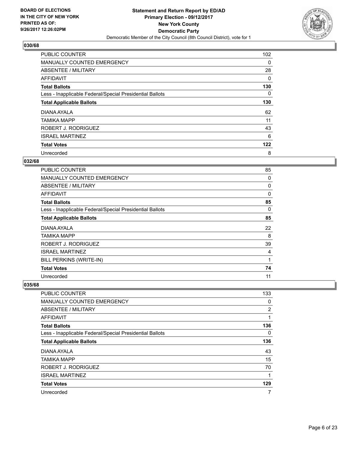

| <b>PUBLIC COUNTER</b>                                    | 102 |
|----------------------------------------------------------|-----|
| MANUALLY COUNTED EMERGENCY                               | 0   |
| ABSENTEE / MILITARY                                      | 28  |
| AFFIDAVIT                                                | 0   |
| <b>Total Ballots</b>                                     | 130 |
| Less - Inapplicable Federal/Special Presidential Ballots | 0   |
| <b>Total Applicable Ballots</b>                          | 130 |
| DIANA AYALA                                              | 62  |
| <b>TAMIKA MAPP</b>                                       | 11  |
| ROBERT J. RODRIGUEZ                                      | 43  |
| <b>ISRAEL MARTINEZ</b>                                   | 6   |
| <b>Total Votes</b>                                       | 122 |
| Unrecorded                                               | 8   |

## **032/68**

| PUBLIC COUNTER                                           | 85           |
|----------------------------------------------------------|--------------|
| <b>MANUALLY COUNTED EMERGENCY</b>                        | 0            |
| ABSENTEE / MILITARY                                      | 0            |
| <b>AFFIDAVIT</b>                                         | 0            |
| <b>Total Ballots</b>                                     | 85           |
| Less - Inapplicable Federal/Special Presidential Ballots | 0            |
| <b>Total Applicable Ballots</b>                          | 85           |
| DIANA AYALA                                              | 22           |
| TAMIKA MAPP                                              | 8            |
| ROBERT J. RODRIGUEZ                                      | 39           |
| <b>ISRAEL MARTINEZ</b>                                   | 4            |
| BILL PERKINS (WRITE-IN)                                  | $\mathbf{1}$ |
| <b>Total Votes</b>                                       | 74           |
| Unrecorded                                               | 11           |

| PUBLIC COUNTER                                           | 133      |
|----------------------------------------------------------|----------|
| MANUALLY COUNTED EMERGENCY                               | 0        |
| ABSENTEE / MILITARY                                      | 2        |
| AFFIDAVIT                                                |          |
| <b>Total Ballots</b>                                     | 136      |
| Less - Inapplicable Federal/Special Presidential Ballots | $\Omega$ |
| <b>Total Applicable Ballots</b>                          | 136      |
| DIANA AYALA                                              | 43       |
| <b>TAMIKA MAPP</b>                                       | 15       |
| ROBERT J. RODRIGUEZ                                      | 70       |
| <b>ISRAEL MARTINEZ</b>                                   | 1        |
| <b>Total Votes</b>                                       | 129      |
| Unrecorded                                               | 7        |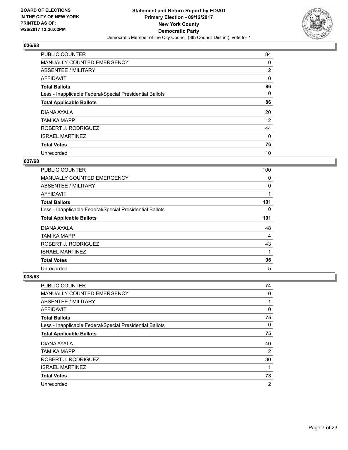

| <b>PUBLIC COUNTER</b>                                    | 84             |
|----------------------------------------------------------|----------------|
| MANUALLY COUNTED EMERGENCY                               | 0              |
| ABSENTEE / MILITARY                                      | $\overline{2}$ |
| AFFIDAVIT                                                | 0              |
| <b>Total Ballots</b>                                     | 86             |
| Less - Inapplicable Federal/Special Presidential Ballots | 0              |
| <b>Total Applicable Ballots</b>                          | 86             |
| DIANA AYALA                                              | 20             |
| <b>TAMIKA MAPP</b>                                       | 12             |
| ROBERT J. RODRIGUEZ                                      | 44             |
| <b>ISRAEL MARTINEZ</b>                                   | $\Omega$       |
| <b>Total Votes</b>                                       | 76             |
| Unrecorded                                               | 10             |

#### **037/68**

| <b>PUBLIC COUNTER</b>                                    | 100 |
|----------------------------------------------------------|-----|
| <b>MANUALLY COUNTED EMERGENCY</b>                        | 0   |
| ABSENTEE / MILITARY                                      | 0   |
| AFFIDAVIT                                                |     |
| <b>Total Ballots</b>                                     | 101 |
| Less - Inapplicable Federal/Special Presidential Ballots | 0   |
| <b>Total Applicable Ballots</b>                          | 101 |
| DIANA AYALA                                              | 48  |
| <b>TAMIKA MAPP</b>                                       | 4   |
| ROBERT J. RODRIGUEZ                                      | 43  |
| <b>ISRAEL MARTINEZ</b>                                   |     |
| <b>Total Votes</b>                                       | 96  |
| Unrecorded                                               | 5   |

| <b>PUBLIC COUNTER</b>                                    | 74             |
|----------------------------------------------------------|----------------|
| MANUALLY COUNTED EMERGENCY                               | 0              |
| ABSENTEE / MILITARY                                      | 1              |
| AFFIDAVIT                                                | 0              |
| <b>Total Ballots</b>                                     | 75             |
| Less - Inapplicable Federal/Special Presidential Ballots | 0              |
| <b>Total Applicable Ballots</b>                          | 75             |
| DIANA AYALA                                              | 40             |
| <b>TAMIKA MAPP</b>                                       | 2              |
| ROBERT J. RODRIGUEZ                                      | 30             |
| <b>ISRAEL MARTINEZ</b>                                   | 1              |
| <b>Total Votes</b>                                       | 73             |
| Unrecorded                                               | $\overline{2}$ |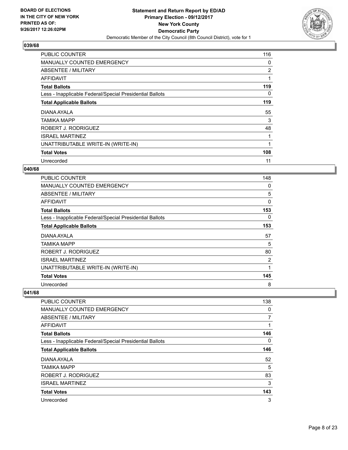

| <b>PUBLIC COUNTER</b>                                    | 116 |
|----------------------------------------------------------|-----|
| <b>MANUALLY COUNTED EMERGENCY</b>                        | 0   |
| ABSENTEE / MILITARY                                      | 2   |
| AFFIDAVIT                                                |     |
| <b>Total Ballots</b>                                     | 119 |
| Less - Inapplicable Federal/Special Presidential Ballots | 0   |
| <b>Total Applicable Ballots</b>                          | 119 |
| DIANA AYALA                                              | 55  |
| TAMIKA MAPP                                              | 3   |
| ROBERT J. RODRIGUEZ                                      | 48  |
| <b>ISRAEL MARTINEZ</b>                                   |     |
| UNATTRIBUTABLE WRITE-IN (WRITE-IN)                       | 1   |
|                                                          |     |
| <b>Total Votes</b>                                       | 108 |

## **040/68**

| <b>PUBLIC COUNTER</b>                                    | 148 |
|----------------------------------------------------------|-----|
| <b>MANUALLY COUNTED EMERGENCY</b>                        | 0   |
| <b>ABSENTEE / MILITARY</b>                               | 5   |
| AFFIDAVIT                                                | 0   |
| <b>Total Ballots</b>                                     | 153 |
| Less - Inapplicable Federal/Special Presidential Ballots | 0   |
| <b>Total Applicable Ballots</b>                          | 153 |
| DIANA AYALA                                              | 57  |
| TAMIKA MAPP                                              | 5   |
| ROBERT J. RODRIGUEZ                                      | 80  |
| <b>ISRAEL MARTINEZ</b>                                   | 2   |
| UNATTRIBUTABLE WRITE-IN (WRITE-IN)                       | 1   |
| <b>Total Votes</b>                                       | 145 |
|                                                          |     |

| <b>PUBLIC COUNTER</b>                                    | 138 |
|----------------------------------------------------------|-----|
| <b>MANUALLY COUNTED EMERGENCY</b>                        | 0   |
| ABSENTEE / MILITARY                                      | 7   |
| <b>AFFIDAVIT</b>                                         | 1   |
| <b>Total Ballots</b>                                     | 146 |
| Less - Inapplicable Federal/Special Presidential Ballots | 0   |
| <b>Total Applicable Ballots</b>                          | 146 |
| DIANA AYALA                                              | 52  |
| <b>TAMIKA MAPP</b>                                       | 5   |
| ROBERT J. RODRIGUEZ                                      | 83  |
| <b>ISRAEL MARTINEZ</b>                                   | 3   |
| <b>Total Votes</b>                                       | 143 |
| Unrecorded                                               | 3   |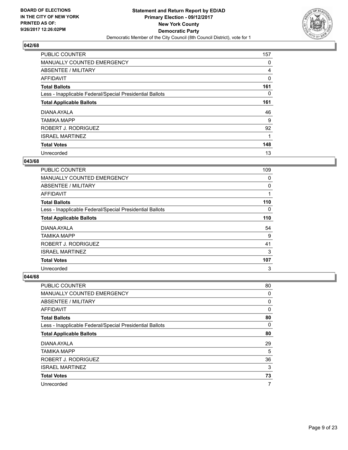

| <b>PUBLIC COUNTER</b>                                    | 157 |
|----------------------------------------------------------|-----|
| MANUALLY COUNTED EMERGENCY                               | 0   |
| ABSENTEE / MILITARY                                      | 4   |
| AFFIDAVIT                                                | 0   |
| <b>Total Ballots</b>                                     | 161 |
| Less - Inapplicable Federal/Special Presidential Ballots | 0   |
| <b>Total Applicable Ballots</b>                          | 161 |
| DIANA AYALA                                              | 46  |
| <b>TAMIKA MAPP</b>                                       | 9   |
| ROBERT J. RODRIGUEZ                                      | 92  |
| <b>ISRAEL MARTINEZ</b>                                   | 1   |
| <b>Total Votes</b>                                       | 148 |
| Unrecorded                                               | 13  |

### **043/68**

| <b>PUBLIC COUNTER</b>                                    | 109 |
|----------------------------------------------------------|-----|
| <b>MANUALLY COUNTED EMERGENCY</b>                        | 0   |
| <b>ABSENTEE / MILITARY</b>                               | 0   |
| <b>AFFIDAVIT</b>                                         | 1   |
| <b>Total Ballots</b>                                     | 110 |
| Less - Inapplicable Federal/Special Presidential Ballots | 0   |
| <b>Total Applicable Ballots</b>                          | 110 |
| DIANA AYALA                                              | 54  |
| <b>TAMIKA MAPP</b>                                       | 9   |
| ROBERT J. RODRIGUEZ                                      | 41  |
| <b>ISRAEL MARTINEZ</b>                                   | 3   |
| <b>Total Votes</b>                                       | 107 |
| Unrecorded                                               | 3   |

| <b>PUBLIC COUNTER</b>                                    | 80 |
|----------------------------------------------------------|----|
| MANUALLY COUNTED EMERGENCY                               | 0  |
| ABSENTEE / MILITARY                                      | 0  |
| AFFIDAVIT                                                | 0  |
| <b>Total Ballots</b>                                     | 80 |
| Less - Inapplicable Federal/Special Presidential Ballots | 0  |
| <b>Total Applicable Ballots</b>                          | 80 |
| DIANA AYALA                                              | 29 |
| <b>TAMIKA MAPP</b>                                       | 5  |
| ROBERT J. RODRIGUEZ                                      | 36 |
| <b>ISRAEL MARTINEZ</b>                                   | 3  |
| <b>Total Votes</b>                                       | 73 |
| Unrecorded                                               | 7  |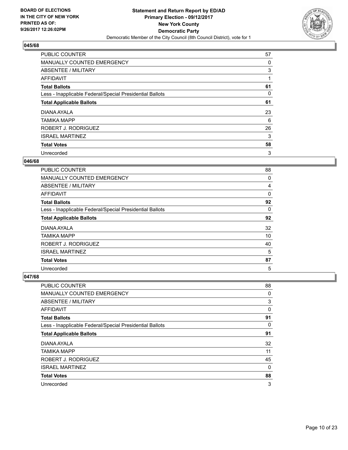

| <b>PUBLIC COUNTER</b>                                    | 57 |
|----------------------------------------------------------|----|
| MANUALLY COUNTED EMERGENCY                               | 0  |
| ABSENTEE / MILITARY                                      | 3  |
| AFFIDAVIT                                                |    |
| <b>Total Ballots</b>                                     | 61 |
| Less - Inapplicable Federal/Special Presidential Ballots | 0  |
| <b>Total Applicable Ballots</b>                          | 61 |
| DIANA AYALA                                              | 23 |
| <b>TAMIKA MAPP</b>                                       | 6  |
| ROBERT J. RODRIGUEZ                                      | 26 |
| <b>ISRAEL MARTINEZ</b>                                   | 3  |
| <b>Total Votes</b>                                       | 58 |
| Unrecorded                                               | 3  |

#### **046/68**

| PUBLIC COUNTER                                           | 88 |
|----------------------------------------------------------|----|
| <b>MANUALLY COUNTED EMERGENCY</b>                        | 0  |
| ABSENTEE / MILITARY                                      | 4  |
| AFFIDAVIT                                                | 0  |
| <b>Total Ballots</b>                                     | 92 |
| Less - Inapplicable Federal/Special Presidential Ballots | 0  |
| <b>Total Applicable Ballots</b>                          | 92 |
| DIANA AYALA                                              | 32 |
| <b>TAMIKA MAPP</b>                                       | 10 |
| ROBERT J. RODRIGUEZ                                      | 40 |
| <b>ISRAEL MARTINEZ</b>                                   | 5  |
| <b>Total Votes</b>                                       | 87 |
| Unrecorded                                               | 5  |

| <b>PUBLIC COUNTER</b>                                    | 88 |
|----------------------------------------------------------|----|
| MANUALLY COUNTED EMERGENCY                               | 0  |
| ABSENTEE / MILITARY                                      | 3  |
| AFFIDAVIT                                                | 0  |
| <b>Total Ballots</b>                                     | 91 |
| Less - Inapplicable Federal/Special Presidential Ballots | 0  |
| <b>Total Applicable Ballots</b>                          | 91 |
| DIANA AYALA                                              | 32 |
| <b>TAMIKA MAPP</b>                                       | 11 |
| ROBERT J. RODRIGUEZ                                      | 45 |
| <b>ISRAEL MARTINEZ</b>                                   | 0  |
| <b>Total Votes</b>                                       | 88 |
| Unrecorded                                               | 3  |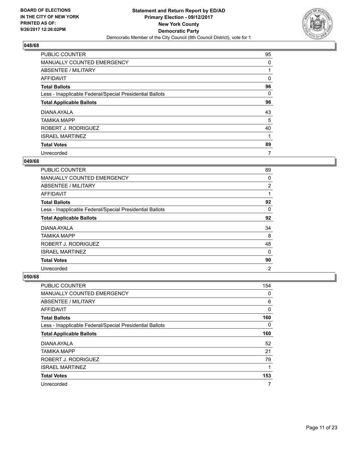

| <b>PUBLIC COUNTER</b>                                    | 95 |
|----------------------------------------------------------|----|
| MANUALLY COUNTED EMERGENCY                               | 0  |
| ABSENTEE / MILITARY                                      |    |
| AFFIDAVIT                                                | 0  |
| <b>Total Ballots</b>                                     | 96 |
| Less - Inapplicable Federal/Special Presidential Ballots | 0  |
| <b>Total Applicable Ballots</b>                          | 96 |
| DIANA AYALA                                              | 43 |
| <b>TAMIKA MAPP</b>                                       | 5  |
| ROBERT J. RODRIGUEZ                                      | 40 |
| <b>ISRAEL MARTINEZ</b>                                   |    |
| <b>Total Votes</b>                                       | 89 |
| Unrecorded                                               | 7  |

#### **049/68**

| <b>PUBLIC COUNTER</b>                                    | 89             |
|----------------------------------------------------------|----------------|
| <b>MANUALLY COUNTED EMERGENCY</b>                        | 0              |
| ABSENTEE / MILITARY                                      | 2              |
| <b>AFFIDAVIT</b>                                         | 1              |
| <b>Total Ballots</b>                                     | 92             |
| Less - Inapplicable Federal/Special Presidential Ballots | 0              |
| <b>Total Applicable Ballots</b>                          | 92             |
| DIANA AYALA                                              | 34             |
| <b>TAMIKA MAPP</b>                                       | 8              |
| ROBERT J. RODRIGUEZ                                      | 48             |
| <b>ISRAEL MARTINEZ</b>                                   | 0              |
| <b>Total Votes</b>                                       | 90             |
| Unrecorded                                               | $\overline{2}$ |

| PUBLIC COUNTER                                           | 154 |
|----------------------------------------------------------|-----|
| <b>MANUALLY COUNTED EMERGENCY</b>                        | 0   |
| ABSENTEE / MILITARY                                      | 6   |
| AFFIDAVIT                                                | 0   |
| <b>Total Ballots</b>                                     | 160 |
| Less - Inapplicable Federal/Special Presidential Ballots | 0   |
| <b>Total Applicable Ballots</b>                          | 160 |
| DIANA AYALA                                              | 52  |
| <b>TAMIKA MAPP</b>                                       | 21  |
| ROBERT J. RODRIGUEZ                                      | 79  |
| <b>ISRAEL MARTINEZ</b>                                   | 1   |
| <b>Total Votes</b>                                       | 153 |
| Unrecorded                                               | 7   |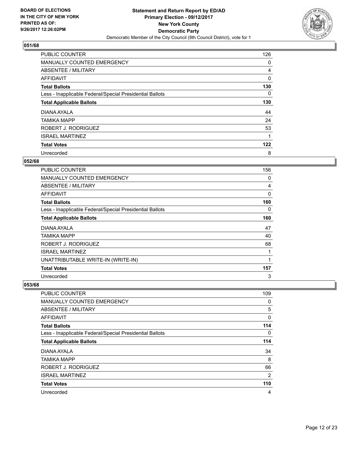

| <b>PUBLIC COUNTER</b>                                    | 126 |
|----------------------------------------------------------|-----|
| MANUALLY COUNTED EMERGENCY                               | 0   |
| ABSENTEE / MILITARY                                      | 4   |
| AFFIDAVIT                                                | 0   |
| <b>Total Ballots</b>                                     | 130 |
| Less - Inapplicable Federal/Special Presidential Ballots | 0   |
| <b>Total Applicable Ballots</b>                          | 130 |
| DIANA AYALA                                              | 44  |
| <b>TAMIKA MAPP</b>                                       | 24  |
| ROBERT J. RODRIGUEZ                                      | 53  |
| <b>ISRAEL MARTINEZ</b>                                   |     |
| <b>Total Votes</b>                                       | 122 |
| Unrecorded                                               | 8   |

#### **052/68**

| <b>PUBLIC COUNTER</b>                                    | 156 |
|----------------------------------------------------------|-----|
| <b>MANUALLY COUNTED EMERGENCY</b>                        | 0   |
| ABSENTEE / MILITARY                                      | 4   |
| <b>AFFIDAVIT</b>                                         | 0   |
| <b>Total Ballots</b>                                     | 160 |
| Less - Inapplicable Federal/Special Presidential Ballots | 0   |
| <b>Total Applicable Ballots</b>                          | 160 |
| DIANA AYALA                                              | 47  |
| TAMIKA MAPP                                              | 40  |
| ROBERT J. RODRIGUEZ                                      | 68  |
| <b>ISRAEL MARTINEZ</b>                                   | 1   |
| UNATTRIBUTABLE WRITE-IN (WRITE-IN)                       | 1   |
| <b>Total Votes</b>                                       | 157 |
| Unrecorded                                               | 3   |

| <b>PUBLIC COUNTER</b>                                    | 109 |
|----------------------------------------------------------|-----|
| <b>MANUALLY COUNTED EMERGENCY</b>                        | 0   |
| ABSENTEE / MILITARY                                      | 5   |
| AFFIDAVIT                                                | 0   |
| <b>Total Ballots</b>                                     | 114 |
| Less - Inapplicable Federal/Special Presidential Ballots | 0   |
| <b>Total Applicable Ballots</b>                          | 114 |
| DIANA AYALA                                              | 34  |
| <b>TAMIKA MAPP</b>                                       | 8   |
| ROBERT J. RODRIGUEZ                                      | 66  |
| <b>ISRAEL MARTINEZ</b>                                   | 2   |
| <b>Total Votes</b>                                       | 110 |
| Unrecorded                                               | 4   |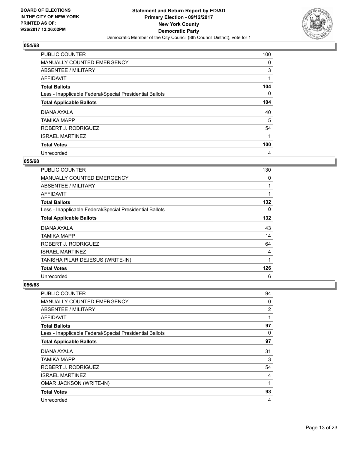

| PUBLIC COUNTER                                           | 100 |
|----------------------------------------------------------|-----|
| MANUALLY COUNTED EMERGENCY                               | 0   |
| ABSENTEE / MILITARY                                      | 3   |
| AFFIDAVIT                                                | 1   |
| <b>Total Ballots</b>                                     | 104 |
| Less - Inapplicable Federal/Special Presidential Ballots | 0   |
| <b>Total Applicable Ballots</b>                          | 104 |
| DIANA AYALA                                              | 40  |
| TAMIKA MAPP                                              | 5   |
| ROBERT J. RODRIGUEZ                                      | 54  |
| <b>ISRAEL MARTINEZ</b>                                   |     |
| <b>Total Votes</b>                                       | 100 |
| Unrecorded                                               | 4   |

#### **055/68**

| <b>PUBLIC COUNTER</b>                                    | 130 |
|----------------------------------------------------------|-----|
| <b>MANUALLY COUNTED EMERGENCY</b>                        | 0   |
| ABSENTEE / MILITARY                                      | 1   |
| <b>AFFIDAVIT</b>                                         | 1   |
| <b>Total Ballots</b>                                     | 132 |
| Less - Inapplicable Federal/Special Presidential Ballots | 0   |
| <b>Total Applicable Ballots</b>                          | 132 |
| DIANA AYALA                                              | 43  |
| TAMIKA MAPP                                              | 14  |
| ROBERT J. RODRIGUEZ                                      | 64  |
| <b>ISRAEL MARTINEZ</b>                                   | 4   |
| TANISHA PILAR DEJESUS (WRITE-IN)                         | 1   |
| <b>Total Votes</b>                                       | 126 |
| Unrecorded                                               | 6   |

| <b>PUBLIC COUNTER</b>                                    | 94 |
|----------------------------------------------------------|----|
| MANUALLY COUNTED EMERGENCY                               | 0  |
| ABSENTEE / MILITARY                                      | 2  |
| AFFIDAVIT                                                | 1  |
| <b>Total Ballots</b>                                     | 97 |
| Less - Inapplicable Federal/Special Presidential Ballots | 0  |
| <b>Total Applicable Ballots</b>                          | 97 |
| DIANA AYALA                                              | 31 |
| TAMIKA MAPP                                              | 3  |
| ROBERT J. RODRIGUEZ                                      | 54 |
| <b>ISRAEL MARTINEZ</b>                                   | 4  |
| <b>OMAR JACKSON (WRITE-IN)</b>                           | 1  |
| <b>Total Votes</b>                                       | 93 |
| Unrecorded                                               | 4  |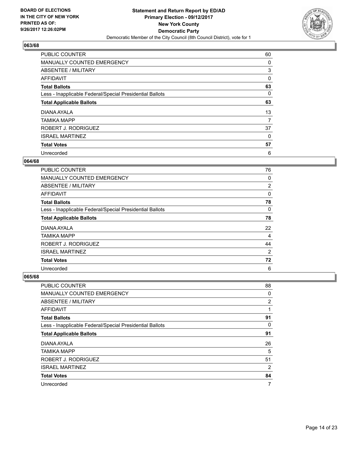

| <b>PUBLIC COUNTER</b>                                    | 60 |
|----------------------------------------------------------|----|
| MANUALLY COUNTED EMERGENCY                               | 0  |
| ABSENTEE / MILITARY                                      | 3  |
| AFFIDAVIT                                                | 0  |
| <b>Total Ballots</b>                                     | 63 |
| Less - Inapplicable Federal/Special Presidential Ballots | 0  |
| <b>Total Applicable Ballots</b>                          | 63 |
| DIANA AYALA                                              | 13 |
| <b>TAMIKA MAPP</b>                                       | 7  |
| ROBERT J. RODRIGUEZ                                      | 37 |
| <b>ISRAEL MARTINEZ</b>                                   | 0  |
| <b>Total Votes</b>                                       | 57 |
| Unrecorded                                               | 6  |

#### **064/68**

| <b>PUBLIC COUNTER</b>                                    | 76 |
|----------------------------------------------------------|----|
| <b>MANUALLY COUNTED EMERGENCY</b>                        | 0  |
| ABSENTEE / MILITARY                                      | 2  |
| AFFIDAVIT                                                | 0  |
| <b>Total Ballots</b>                                     | 78 |
| Less - Inapplicable Federal/Special Presidential Ballots | 0  |
| <b>Total Applicable Ballots</b>                          | 78 |
| DIANA AYALA                                              | 22 |
| <b>TAMIKA MAPP</b>                                       | 4  |
| ROBERT J. RODRIGUEZ                                      | 44 |
| <b>ISRAEL MARTINEZ</b>                                   | 2  |
| <b>Total Votes</b>                                       | 72 |
| Unrecorded                                               | 6  |

| PUBLIC COUNTER                                           | 88             |
|----------------------------------------------------------|----------------|
| <b>MANUALLY COUNTED EMERGENCY</b>                        | 0              |
| ABSENTEE / MILITARY                                      | 2              |
| AFFIDAVIT                                                | 1              |
| <b>Total Ballots</b>                                     | 91             |
| Less - Inapplicable Federal/Special Presidential Ballots | 0              |
| <b>Total Applicable Ballots</b>                          | 91             |
| DIANA AYALA                                              | 26             |
| <b>TAMIKA MAPP</b>                                       | 5              |
| ROBERT J. RODRIGUEZ                                      | 51             |
| <b>ISRAEL MARTINEZ</b>                                   | $\overline{2}$ |
| <b>Total Votes</b>                                       | 84             |
| Unrecorded                                               | 7              |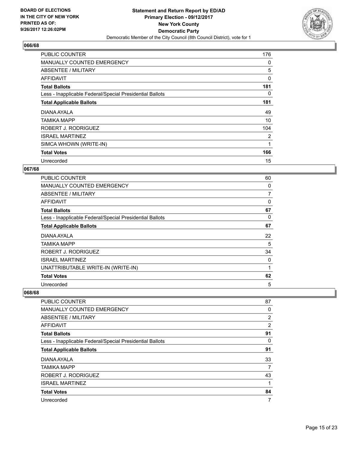

| <b>PUBLIC COUNTER</b>                                    | 176 |
|----------------------------------------------------------|-----|
| <b>MANUALLY COUNTED EMERGENCY</b>                        | 0   |
| ABSENTEE / MILITARY                                      | 5   |
| AFFIDAVIT                                                | 0   |
| <b>Total Ballots</b>                                     | 181 |
| Less - Inapplicable Federal/Special Presidential Ballots | 0   |
| <b>Total Applicable Ballots</b>                          | 181 |
| DIANA AYALA                                              | 49  |
| TAMIKA MAPP                                              | 10  |
| ROBERT J. RODRIGUEZ                                      | 104 |
| <b>ISRAEL MARTINEZ</b>                                   | 2   |
| SIMCA WHOWN (WRITE-IN)                                   |     |
| <b>Total Votes</b>                                       | 166 |
| Unrecorded                                               | 15  |

## **067/68**

| <b>PUBLIC COUNTER</b>                                    | 60 |
|----------------------------------------------------------|----|
| <b>MANUALLY COUNTED EMERGENCY</b>                        | 0  |
| ABSENTEE / MILITARY                                      | 7  |
| AFFIDAVIT                                                | 0  |
| <b>Total Ballots</b>                                     | 67 |
| Less - Inapplicable Federal/Special Presidential Ballots | 0  |
| <b>Total Applicable Ballots</b>                          | 67 |
| DIANA AYALA                                              | 22 |
| TAMIKA MAPP                                              | 5  |
| ROBERT J. RODRIGUEZ                                      | 34 |
| <b>ISRAEL MARTINEZ</b>                                   | 0  |
| UNATTRIBUTABLE WRITE-IN (WRITE-IN)                       | 1  |
| <b>Total Votes</b>                                       | 62 |
| Unrecorded                                               | 5  |

| <b>PUBLIC COUNTER</b>                                    | 87 |
|----------------------------------------------------------|----|
| MANUALLY COUNTED EMERGENCY                               | 0  |
| ABSENTEE / MILITARY                                      | 2  |
| <b>AFFIDAVIT</b>                                         | 2  |
| <b>Total Ballots</b>                                     | 91 |
| Less - Inapplicable Federal/Special Presidential Ballots | 0  |
| <b>Total Applicable Ballots</b>                          | 91 |
| DIANA AYALA                                              | 33 |
| TAMIKA MAPP                                              | 7  |
| ROBERT J. RODRIGUEZ                                      | 43 |
| <b>ISRAEL MARTINEZ</b>                                   | 1  |
| <b>Total Votes</b>                                       | 84 |
| Unrecorded                                               | 7  |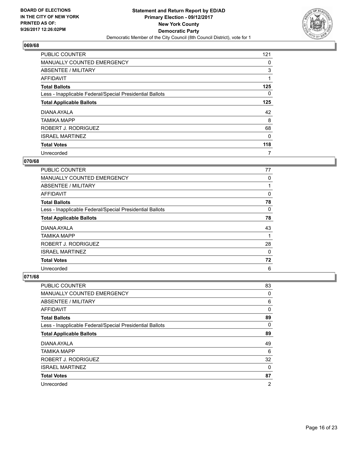

| <b>PUBLIC COUNTER</b>                                    | 121 |
|----------------------------------------------------------|-----|
| MANUALLY COUNTED EMERGENCY                               | 0   |
| ABSENTEE / MILITARY                                      | 3   |
| AFFIDAVIT                                                |     |
| <b>Total Ballots</b>                                     | 125 |
| Less - Inapplicable Federal/Special Presidential Ballots | 0   |
| <b>Total Applicable Ballots</b>                          | 125 |
| DIANA AYALA                                              | 42  |
| <b>TAMIKA MAPP</b>                                       | 8   |
| ROBERT J. RODRIGUEZ                                      | 68  |
| <b>ISRAEL MARTINEZ</b>                                   | 0   |
| <b>Total Votes</b>                                       | 118 |
| Unrecorded                                               | 7   |

#### **070/68**

| <b>PUBLIC COUNTER</b>                                    | 77 |
|----------------------------------------------------------|----|
| <b>MANUALLY COUNTED EMERGENCY</b>                        | 0  |
| ABSENTEE / MILITARY                                      |    |
| AFFIDAVIT                                                | 0  |
| <b>Total Ballots</b>                                     | 78 |
| Less - Inapplicable Federal/Special Presidential Ballots | 0  |
| <b>Total Applicable Ballots</b>                          | 78 |
| DIANA AYALA                                              | 43 |
| <b>TAMIKA MAPP</b>                                       |    |
| ROBERT J. RODRIGUEZ                                      | 28 |
| <b>ISRAEL MARTINEZ</b>                                   | 0  |
| <b>Total Votes</b>                                       | 72 |
| Unrecorded                                               | 6  |

| PUBLIC COUNTER                                           | 83             |
|----------------------------------------------------------|----------------|
| <b>MANUALLY COUNTED EMERGENCY</b>                        | 0              |
| ABSENTEE / MILITARY                                      | 6              |
| AFFIDAVIT                                                | 0              |
| <b>Total Ballots</b>                                     | 89             |
| Less - Inapplicable Federal/Special Presidential Ballots | 0              |
| <b>Total Applicable Ballots</b>                          | 89             |
| DIANA AYALA                                              | 49             |
| <b>TAMIKA MAPP</b>                                       | 6              |
| ROBERT J. RODRIGUEZ                                      | 32             |
| <b>ISRAEL MARTINEZ</b>                                   | 0              |
| <b>Total Votes</b>                                       | 87             |
| Unrecorded                                               | $\overline{2}$ |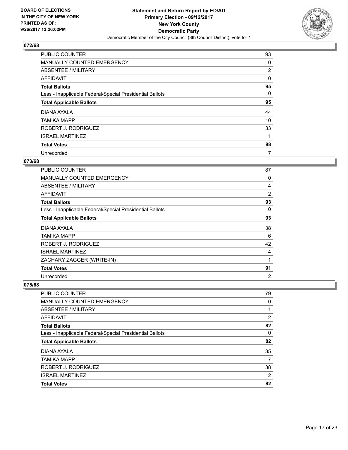

| <b>PUBLIC COUNTER</b>                                    | 93             |
|----------------------------------------------------------|----------------|
| MANUALLY COUNTED EMERGENCY                               | 0              |
| ABSENTEE / MILITARY                                      | $\overline{2}$ |
| AFFIDAVIT                                                | 0              |
| <b>Total Ballots</b>                                     | 95             |
| Less - Inapplicable Federal/Special Presidential Ballots | 0              |
| <b>Total Applicable Ballots</b>                          | 95             |
| DIANA AYALA                                              | 44             |
| <b>TAMIKA MAPP</b>                                       | 10             |
| ROBERT J. RODRIGUEZ                                      | 33             |
| <b>ISRAEL MARTINEZ</b>                                   |                |
| <b>Total Votes</b>                                       | 88             |
| Unrecorded                                               | 7              |

# **073/68**

| <b>PUBLIC COUNTER</b>                                    | 87             |
|----------------------------------------------------------|----------------|
| <b>MANUALLY COUNTED EMERGENCY</b>                        | 0              |
| ABSENTEE / MILITARY                                      | 4              |
| AFFIDAVIT                                                | $\overline{2}$ |
| <b>Total Ballots</b>                                     | 93             |
| Less - Inapplicable Federal/Special Presidential Ballots | 0              |
| <b>Total Applicable Ballots</b>                          | 93             |
| DIANA AYALA                                              | 38             |
| TAMIKA MAPP                                              | 6              |
| ROBERT J. RODRIGUEZ                                      | 42             |
| <b>ISRAEL MARTINEZ</b>                                   | 4              |
| ZACHARY ZAGGER (WRITE-IN)                                | 1              |
| <b>Total Votes</b>                                       | 91             |
| Unrecorded                                               | $\overline{2}$ |

| <b>PUBLIC COUNTER</b>                                    | 79             |
|----------------------------------------------------------|----------------|
| MANUALLY COUNTED EMERGENCY                               | 0              |
| ABSENTEE / MILITARY                                      |                |
| AFFIDAVIT                                                | $\overline{2}$ |
| <b>Total Ballots</b>                                     | 82             |
| Less - Inapplicable Federal/Special Presidential Ballots | 0              |
| <b>Total Applicable Ballots</b>                          | 82             |
| DIANA AYALA                                              | 35             |
| <b>TAMIKA MAPP</b>                                       | 7              |
| ROBERT J. RODRIGUEZ                                      | 38             |
| <b>ISRAEL MARTINEZ</b>                                   | $\overline{2}$ |
| <b>Total Votes</b>                                       | 82             |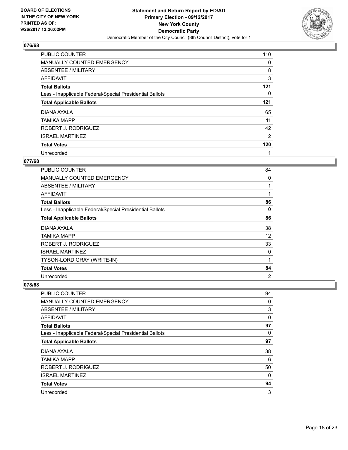

| <b>PUBLIC COUNTER</b>                                    | 110 |
|----------------------------------------------------------|-----|
| MANUALLY COUNTED EMERGENCY                               | 0   |
| ABSENTEE / MILITARY                                      | 8   |
| <b>AFFIDAVIT</b>                                         | 3   |
| <b>Total Ballots</b>                                     | 121 |
| Less - Inapplicable Federal/Special Presidential Ballots | 0   |
| <b>Total Applicable Ballots</b>                          | 121 |
| DIANA AYALA                                              | 65  |
| TAMIKA MAPP                                              | 11  |
| ROBERT J. RODRIGUEZ                                      | 42  |
| <b>ISRAEL MARTINEZ</b>                                   | 2   |
| <b>Total Votes</b>                                       | 120 |
| Unrecorded                                               | 1   |

## **077/68**

| <b>PUBLIC COUNTER</b>                                    | 84             |
|----------------------------------------------------------|----------------|
| <b>MANUALLY COUNTED EMERGENCY</b>                        | 0              |
| <b>ABSENTEE / MILITARY</b>                               | 1              |
| AFFIDAVIT                                                | 1              |
| <b>Total Ballots</b>                                     | 86             |
| Less - Inapplicable Federal/Special Presidential Ballots | 0              |
| <b>Total Applicable Ballots</b>                          | 86             |
| DIANA AYALA                                              | 38             |
| TAMIKA MAPP                                              | 12             |
| ROBERT J. RODRIGUEZ                                      | 33             |
| <b>ISRAEL MARTINEZ</b>                                   | 0              |
| TYSON-LORD GRAY (WRITE-IN)                               | 1              |
| <b>Total Votes</b>                                       | 84             |
| Unrecorded                                               | $\overline{2}$ |

| <b>PUBLIC COUNTER</b>                                    | 94 |
|----------------------------------------------------------|----|
| <b>MANUALLY COUNTED EMERGENCY</b>                        | 0  |
| ABSENTEE / MILITARY                                      | 3  |
| AFFIDAVIT                                                | 0  |
| <b>Total Ballots</b>                                     | 97 |
| Less - Inapplicable Federal/Special Presidential Ballots | 0  |
| <b>Total Applicable Ballots</b>                          | 97 |
| DIANA AYALA                                              | 38 |
| <b>TAMIKA MAPP</b>                                       | 6  |
| ROBERT J. RODRIGUEZ                                      | 50 |
| <b>ISRAEL MARTINEZ</b>                                   | 0  |
| <b>Total Votes</b>                                       | 94 |
| Unrecorded                                               | 3  |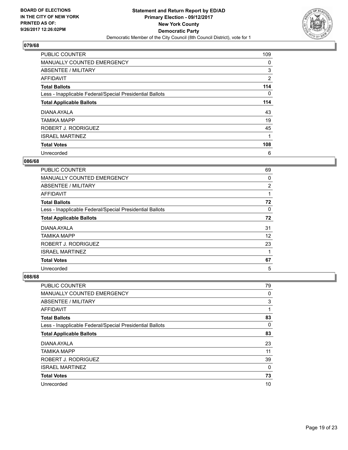

| <b>PUBLIC COUNTER</b>                                    | 109      |
|----------------------------------------------------------|----------|
| MANUALLY COUNTED EMERGENCY                               | 0        |
| ABSENTEE / MILITARY                                      | 3        |
| <b>AFFIDAVIT</b>                                         | 2        |
| <b>Total Ballots</b>                                     | 114      |
| Less - Inapplicable Federal/Special Presidential Ballots | $\Omega$ |
| <b>Total Applicable Ballots</b>                          | 114      |
| DIANA AYALA                                              | 43       |
| TAMIKA MAPP                                              | 19       |
| ROBERT J. RODRIGUEZ                                      | 45       |
| <b>ISRAEL MARTINEZ</b>                                   | 1        |
| <b>Total Votes</b>                                       | 108      |
| Unrecorded                                               | 6        |

#### **086/68**

| <b>PUBLIC COUNTER</b>                                    | 69 |
|----------------------------------------------------------|----|
| <b>MANUALLY COUNTED EMERGENCY</b>                        | 0  |
| ABSENTEE / MILITARY                                      | 2  |
| AFFIDAVIT                                                | 1  |
| <b>Total Ballots</b>                                     | 72 |
| Less - Inapplicable Federal/Special Presidential Ballots | 0  |
| <b>Total Applicable Ballots</b>                          | 72 |
| DIANA AYALA                                              | 31 |
| <b>TAMIKA MAPP</b>                                       | 12 |
| ROBERT J. RODRIGUEZ                                      | 23 |
| <b>ISRAEL MARTINEZ</b>                                   |    |
| <b>Total Votes</b>                                       | 67 |
| Unrecorded                                               | 5  |

| PUBLIC COUNTER                                           | 79 |
|----------------------------------------------------------|----|
| <b>MANUALLY COUNTED EMERGENCY</b>                        | 0  |
| ABSENTEE / MILITARY                                      | 3  |
| AFFIDAVIT                                                | 1  |
| <b>Total Ballots</b>                                     | 83 |
| Less - Inapplicable Federal/Special Presidential Ballots | 0  |
| <b>Total Applicable Ballots</b>                          | 83 |
| DIANA AYALA                                              | 23 |
| <b>TAMIKA MAPP</b>                                       | 11 |
| ROBERT J. RODRIGUEZ                                      | 39 |
| <b>ISRAEL MARTINEZ</b>                                   | 0  |
| <b>Total Votes</b>                                       | 73 |
| Unrecorded                                               | 10 |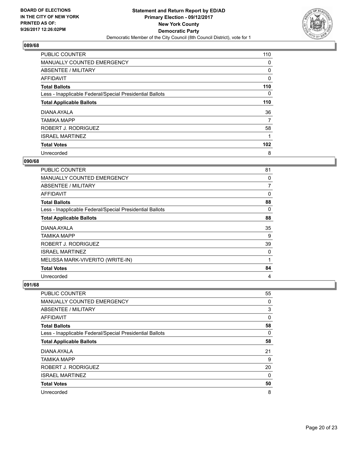

| <b>PUBLIC COUNTER</b>                                    | 110 |
|----------------------------------------------------------|-----|
| MANUALLY COUNTED EMERGENCY                               | 0   |
| ABSENTEE / MILITARY                                      | 0   |
| AFFIDAVIT                                                | 0   |
| <b>Total Ballots</b>                                     | 110 |
| Less - Inapplicable Federal/Special Presidential Ballots | 0   |
| <b>Total Applicable Ballots</b>                          | 110 |
| DIANA AYALA                                              | 36  |
| <b>TAMIKA MAPP</b>                                       | 7   |
| ROBERT J. RODRIGUEZ                                      | 58  |
| <b>ISRAEL MARTINEZ</b>                                   |     |
| <b>Total Votes</b>                                       | 102 |
| Unrecorded                                               | 8   |

#### **090/68**

| <b>PUBLIC COUNTER</b>                                    | 81          |
|----------------------------------------------------------|-------------|
| MANUALLY COUNTED EMERGENCY                               | 0           |
| ABSENTEE / MILITARY                                      | 7           |
| <b>AFFIDAVIT</b>                                         | $\mathbf 0$ |
| <b>Total Ballots</b>                                     | 88          |
| Less - Inapplicable Federal/Special Presidential Ballots | 0           |
| <b>Total Applicable Ballots</b>                          | 88          |
| DIANA AYALA                                              | 35          |
| TAMIKA MAPP                                              | 9           |
| ROBERT J. RODRIGUEZ                                      | 39          |
| <b>ISRAEL MARTINEZ</b>                                   | 0           |
| MELISSA MARK-VIVERITO (WRITE-IN)                         | 1           |
| <b>Total Votes</b>                                       | 84          |
| Unrecorded                                               | 4           |

| <b>PUBLIC COUNTER</b>                                    | 55 |
|----------------------------------------------------------|----|
| <b>MANUALLY COUNTED EMERGENCY</b>                        | 0  |
| ABSENTEE / MILITARY                                      | 3  |
| AFFIDAVIT                                                | 0  |
| <b>Total Ballots</b>                                     | 58 |
| Less - Inapplicable Federal/Special Presidential Ballots | 0  |
| <b>Total Applicable Ballots</b>                          | 58 |
| DIANA AYALA                                              | 21 |
| <b>TAMIKA MAPP</b>                                       | 9  |
| ROBERT J. RODRIGUEZ                                      | 20 |
| <b>ISRAEL MARTINEZ</b>                                   | 0  |
| <b>Total Votes</b>                                       | 50 |
| Unrecorded                                               | 8  |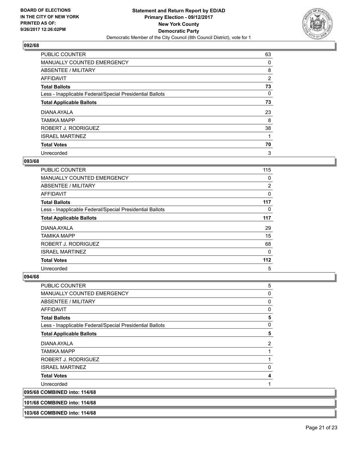

| <b>PUBLIC COUNTER</b>                                    | 63             |
|----------------------------------------------------------|----------------|
| MANUALLY COUNTED EMERGENCY                               | 0              |
| ABSENTEE / MILITARY                                      | 8              |
| AFFIDAVIT                                                | $\overline{2}$ |
| <b>Total Ballots</b>                                     | 73             |
| Less - Inapplicable Federal/Special Presidential Ballots | 0              |
| <b>Total Applicable Ballots</b>                          | 73             |
| DIANA AYALA                                              | 23             |
| <b>TAMIKA MAPP</b>                                       | 8              |
| ROBERT J. RODRIGUEZ                                      | 38             |
| <b>ISRAEL MARTINEZ</b>                                   |                |
| <b>Total Votes</b>                                       | 70             |
| Unrecorded                                               | 3              |

#### **093/68**

| <b>PUBLIC COUNTER</b>                                    | 115   |
|----------------------------------------------------------|-------|
| <b>MANUALLY COUNTED EMERGENCY</b>                        | 0     |
| ABSENTEE / MILITARY                                      | 2     |
| AFFIDAVIT                                                | 0     |
| <b>Total Ballots</b>                                     | 117   |
| Less - Inapplicable Federal/Special Presidential Ballots | 0     |
| <b>Total Applicable Ballots</b>                          | 117   |
| DIANA AYALA                                              | 29    |
| <b>TAMIKA MAPP</b>                                       | 15    |
| ROBERT J. RODRIGUEZ                                      | 68    |
| <b>ISRAEL MARTINEZ</b>                                   | 0     |
| <b>Total Votes</b>                                       | $112$ |
| Unrecorded                                               | 5     |

## **094/68**

**103/68 COMBINED into: 114/68**

| <b>PUBLIC COUNTER</b>                                    | 5              |
|----------------------------------------------------------|----------------|
|                                                          |                |
| MANUALLY COUNTED EMERGENCY                               | 0              |
| ABSENTEE / MILITARY                                      | 0              |
| <b>AFFIDAVIT</b>                                         | 0              |
| <b>Total Ballots</b>                                     | 5              |
| Less - Inapplicable Federal/Special Presidential Ballots | 0              |
| <b>Total Applicable Ballots</b>                          | 5              |
| DIANA AYALA                                              | $\overline{2}$ |
| TAMIKA MAPP                                              |                |
| ROBERT J. RODRIGUEZ                                      | 1              |
| <b>ISRAEL MARTINEZ</b>                                   | $\mathbf{0}$   |
| <b>Total Votes</b>                                       | 4              |
| Unrecorded                                               |                |
| 095/68 COMBINED into: 114/68                             |                |
| 101/68 COMBINED into: 114/68                             |                |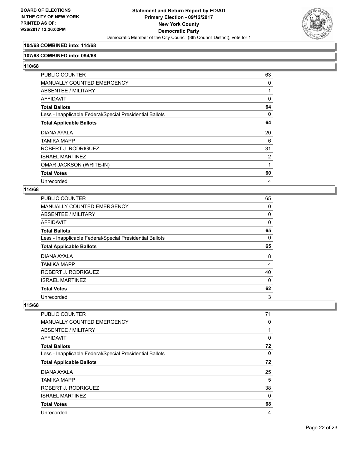

## **104/68 COMBINED into: 114/68**

#### **107/68 COMBINED into: 094/68**

**110/68** 

| PUBLIC COUNTER                                           | 63       |
|----------------------------------------------------------|----------|
| MANUALLY COUNTED EMERGENCY                               | 0        |
| <b>ABSENTEE / MILITARY</b>                               | 1        |
| AFFIDAVIT                                                | $\Omega$ |
| Total Ballots                                            | 64       |
| Less - Inapplicable Federal/Special Presidential Ballots | 0        |
| <b>Total Applicable Ballots</b>                          | 64       |
| DIANA AYALA                                              | 20       |
| TAMIKA MAPP                                              | 6        |
| ROBERT J. RODRIGUEZ                                      | 31       |
| <b>ISRAEL MARTINEZ</b>                                   | 2        |
| OMAR JACKSON (WRITE-IN)                                  | 1        |
| <b>Total Votes</b>                                       | 60       |
| Unrecorded                                               | 4        |

#### **114/68**

| PUBLIC COUNTER                                           | 65           |
|----------------------------------------------------------|--------------|
| MANUALLY COUNTED EMERGENCY                               | 0            |
| ABSENTEE / MILITARY                                      | 0            |
| AFFIDAVIT                                                | 0            |
| Total Ballots                                            | 65           |
| Less - Inapplicable Federal/Special Presidential Ballots | 0            |
| <b>Total Applicable Ballots</b>                          | 65           |
| DIANA AYALA                                              | 18           |
| TAMIKA MAPP                                              | 4            |
| ROBERT J. RODRIGUEZ                                      | 40           |
| <b>ISRAEL MARTINEZ</b>                                   | $\mathbf{0}$ |
| <b>Total Votes</b>                                       | 62           |
| Unrecorded                                               | 3            |

| <b>PUBLIC COUNTER</b>                                    | 71 |
|----------------------------------------------------------|----|
| <b>MANUALLY COUNTED EMERGENCY</b>                        | 0  |
| ABSENTEE / MILITARY                                      |    |
| AFFIDAVIT                                                | 0  |
| <b>Total Ballots</b>                                     | 72 |
| Less - Inapplicable Federal/Special Presidential Ballots | 0  |
| <b>Total Applicable Ballots</b>                          | 72 |
| DIANA AYALA                                              | 25 |
| TAMIKA MAPP                                              | 5  |
| ROBERT J. RODRIGUEZ                                      | 38 |
| <b>ISRAEL MARTINEZ</b>                                   | 0  |
| <b>Total Votes</b>                                       | 68 |
| Unrecorded                                               | 4  |